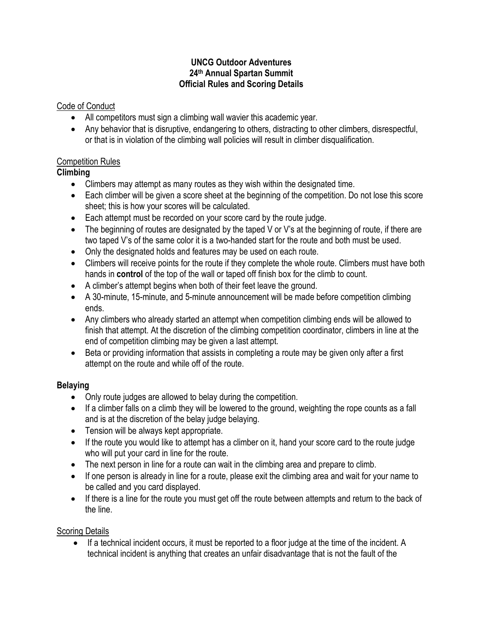#### **UNCG Outdoor Adventures 24th Annual Spartan Summit Official Rules and Scoring Details**

## Code of Conduct

- All competitors must sign a climbing wall wavier this academic year.
- Any behavior that is disruptive, endangering to others, distracting to other climbers, disrespectful, or that is in violation of the climbing wall policies will result in climber disqualification.

## Competition Rules

## **Climbing**

- Climbers may attempt as many routes as they wish within the designated time.
- Each climber will be given a score sheet at the beginning of the competition. Do not lose this score sheet; this is how your scores will be calculated.
- Each attempt must be recorded on your score card by the route judge.
- The beginning of routes are designated by the taped V or V's at the beginning of route, if there are two taped V's of the same color it is a two-handed start for the route and both must be used.
- Only the designated holds and features may be used on each route.
- Climbers will receive points for the route if they complete the whole route. Climbers must have both hands in **control** of the top of the wall or taped off finish box for the climb to count.
- A climber's attempt begins when both of their feet leave the ground.
- A 30-minute, 15-minute, and 5-minute announcement will be made before competition climbing ends.
- Any climbers who already started an attempt when competition climbing ends will be allowed to finish that attempt. At the discretion of the climbing competition coordinator, climbers in line at the end of competition climbing may be given a last attempt.
- Beta or providing information that assists in completing a route may be given only after a first attempt on the route and while off of the route.

# **Belaying**

- Only route judges are allowed to belay during the competition.
- If a climber falls on a climb they will be lowered to the ground, weighting the rope counts as a fall and is at the discretion of the belay judge belaying.
- Tension will be always kept appropriate.
- If the route you would like to attempt has a climber on it, hand your score card to the route judge who will put your card in line for the route.
- The next person in line for a route can wait in the climbing area and prepare to climb.
- If one person is already in line for a route, please exit the climbing area and wait for your name to be called and you card displayed.
- If there is a line for the route you must get off the route between attempts and return to the back of the line.

# Scoring Details

If a technical incident occurs, it must be reported to a floor judge at the time of the incident. A technical incident is anything that creates an unfair disadvantage that is not the fault of the